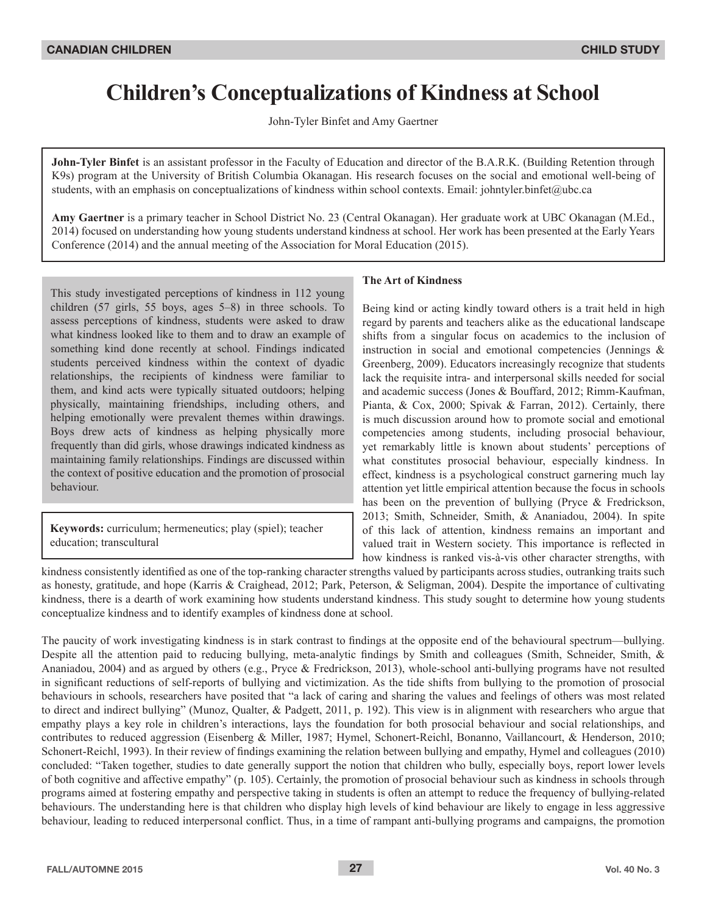# **Children's Conceptualizations of Kindness at School**

John-Tyler Binfet and Amy Gaertner

**John-Tyler Binfet** is an assistant professor in the Faculty of Education and director of the B.A.R.K. (Building Retention through K9s) program at the University of British Columbia Okanagan. His research focuses on the social and emotional well-being of students, with an emphasis on conceptualizations of kindness within school contexts. Email: johntyler.binfet@ubc.ca

**Amy Gaertner** is a primary teacher in School District No. 23 (Central Okanagan). Her graduate work at UBC Okanagan (M.Ed., 2014) focused on understanding how young students understand kindness at school. Her work has been presented at the Early Years Conference (2014) and the annual meeting of the Association for Moral Education (2015).

This study investigated perceptions of kindness in 112 young children  $(57 \text{ girls}, 55 \text{ boys}, \text{ages } 5-8)$  in three schools. To assess perceptions of kindness, students were asked to draw what kindness looked like to them and to draw an example of something kind done recently at school. Findings indicated students perceived kindness within the context of dyadic relationships, the recipients of kindness were familiar to them, and kind acts were typically situated outdoors; helping physically, maintaining friendships, including others, and helping emotionally were prevalent themes within drawings. Boys drew acts of kindness as helping physically more frequently than did girls, whose drawings indicated kindness as maintaining family relationships. Findings are discussed within the context of positive education and the promotion of prosocial behaviour.

**Keywords:** curriculum; hermeneutics; play (spiel); teacher education; transcultural

## **The Art of Kindness**

Being kind or acting kindly toward others is a trait held in high regard by parents and teachers alike as the educational landscape shifts from a singular focus on academics to the inclusion of instruction in social and emotional competencies (Jennings & Greenberg, 2009). Educators increasingly recognize that students lack the requisite intra- and interpersonal skills needed for social and academic success (Jones & Bouffard, 2012; Rimm-Kaufman, Pianta, & Cox, 2000; Spivak & Farran, 2012). Certainly, there is much discussion around how to promote social and emotional competencies among students, including prosocial behaviour, yet remarkably little is known about students' perceptions of what constitutes prosocial behaviour, especially kindness. In effect, kindness is a psychological construct garnering much lay attention yet little empirical attention because the focus in schools has been on the prevention of bullying (Pryce & Fredrickson, 2013; Smith, Schneider, Smith, & Ananiadou, 2004). In spite of this lack of attention, kindness remains an important and valued trait in Western society. This importance is reflected in how kindness is ranked vis-à-vis other character strengths, with

kindness consistently identified as one of the top-ranking character strengths valued by participants across studies, outranking traits such as honesty, gratitude, and hope (Karris & Craighead, 2012; Park, Peterson, & Seligman, 2004). Despite the importance of cultivating kindness, there is a dearth of work examining how students understand kindness. This study sought to determine how young students conceptualize kindness and to identify examples of kindness done at school.

The paucity of work investigating kindness is in stark contrast to findings at the opposite end of the behavioural spectrum—bullying. Despite all the attention paid to reducing bullying, meta-analytic findings by Smith and colleagues (Smith, Schneider, Smith, & Ananiadou, 2004) and as argued by others (e.g., Pryce & Fredrickson, 2013), whole-school anti-bullying programs have not resulted in significant reductions of self-reports of bullying and victimization. As the tide shifts from bullying to the promotion of prosocial behaviours in schools, researchers have posited that "a lack of caring and sharing the values and feelings of others was most related to direct and indirect bullying" (Munoz, Qualter, & Padgett, 2011, p. 192). This view is in alignment with researchers who argue that empathy plays a key role in children's interactions, lays the foundation for both prosocial behaviour and social relationships, and contributes to reduced aggression (Eisenberg & Miller, 1987; Hymel, Schonert-Reichl, Bonanno, Vaillancourt, & Henderson, 2010; Schonert-Reichl, 1993). In their review of findings examining the relation between bullying and empathy, Hymel and colleagues (2010) concluded: "Taken together, studies to date generally support the notion that children who bully, especially boys, report lower levels of both cognitive and affective empathy" (p. 105). Certainly, the promotion of prosocial behaviour such as kindness in schools through programs aimed at fostering empathy and perspective taking in students is often an attempt to reduce the frequency of bullying-related behaviours. The understanding here is that children who display high levels of kind behaviour are likely to engage in less aggressive behaviour, leading to reduced interpersonal conflict. Thus, in a time of rampant anti-bullying programs and campaigns, the promotion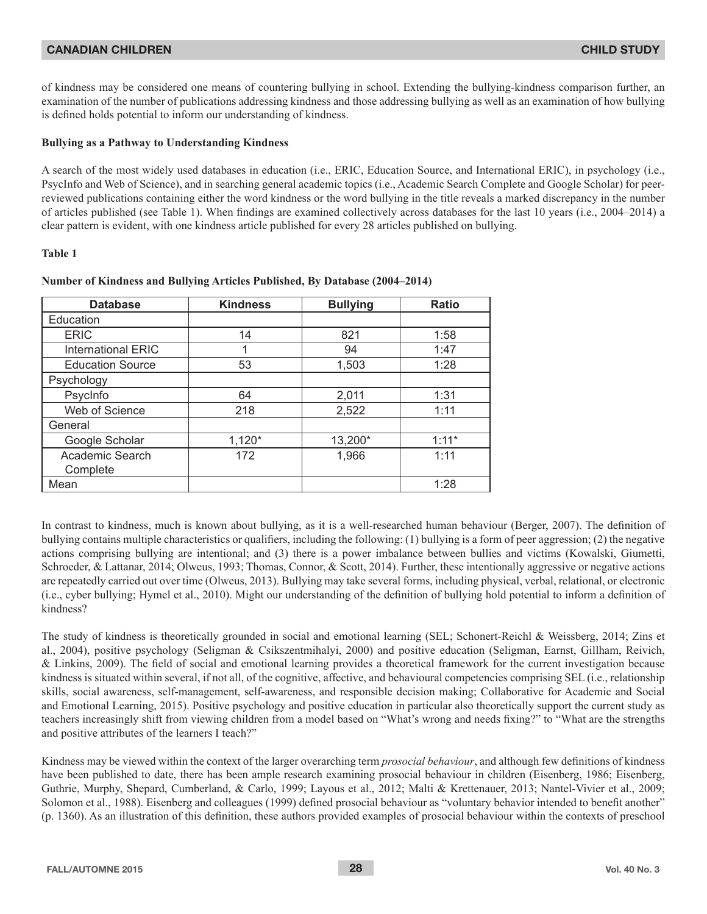of kindness may be considered one means of countering bullying in school. Extending the bullying-kindness comparison further, an examination of the number of publications addressing kindness and those addressing bullying as well as an examination of how bullying is defined holds potential to inform our understanding of kindness.

## **Bullying as a Pathway to Understanding Kindness**

A search of the most widely used databases in education (i.e., ERIC, Education Source, and International ERIC), in psychology (i.e., PsycInfo and Web of Science), and in searching general academic topics (i.e., Academic Search Complete and Google Scholar) for peerreviewed publications containing either the word kindness or the word bullying in the title reveals a marked discrepancy in the number of articles published (see Table 1). When findings are examined collectively across databases for the last 10 years (i.e., 2004–2014) a For the parameter is evident, with one kindness article published for every 28 articles published on bullying.

## **Table 1**

| <b>Database</b>           | <b>Kindness</b> | <b>Bullying</b> | <b>Ratio</b> |  |
|---------------------------|-----------------|-----------------|--------------|--|
| Education                 |                 |                 |              |  |
| <b>ERIC</b>               | 14              | 821             | 1:58         |  |
| <b>International ERIC</b> | 1               | 94              | 1:47         |  |
| <b>Education Source</b>   | 53              | 1,503           | 1:28         |  |
| Psychology                |                 |                 |              |  |
| PsycInfo                  | 64              | 2,011           | 1:31         |  |
| Web of Science            | 218             | 2,522           | 1:11         |  |
| General                   |                 |                 |              |  |
| Google Scholar            | $1,120*$        | 13,200*         | $1:11*$      |  |
| Academic Search           | 172             | 1,966           | 1:11         |  |
| Complete                  |                 |                 |              |  |
| Mean                      |                 |                 | 1:28         |  |

## **Number of Kindness and Bullying Articles Published, By Database (2004–2014)**

In contrast to kindness, much is known about bullying, as it is a well-researched human behaviour (Berger, 2007). The definition of bullying contains multiple characteristics or qualifiers, including the following: (1) bullying is a form of peer aggression; (2) the negative actions comprising bullying are intentional; and (3) there is a power imbalance between bullies and victims (Kowalski, Giumetti, Schroeder, & Lattanar, 2014; Olweus, 1993; Thomas, Connor, & Scott, 2014). Further, these intentionally aggressive or negative actions are repeatedly carried out over time (Olweus, 2013). Bullying may take several forms, including physical, verbal, relational, or electronic (i.e., cyber bullying; Hymel et al., 2010). Might our understanding of the definition of bullying hold potential to inform a definition of kindness?

The study of kindness is theoretically grounded in social and emotional learning (SEL; Schonert-Reichl & Weissberg, 2014; Zins et al., 2004), positive psychology (Seligman & Csikszentmihalyi, 2000) and positive education (Seligman, Earnst, Gillham, Reivich, & Linkins, 2009). The field of social and emotional learning provides a theoretical framework for the current investigation because kindness is situated within several, if not all, of the cognitive, affective, and behavioural competencies comprising SEL (i.e., relationship skills, social awareness, self-management, self-awareness, and responsible decision making; Collaborative for Academic and Social and Emotional Learning, 2015). Positive psychology and positive education in particular also theoretically support the current study as teachers increasingly shift from viewing children from a model based on "What's wrong and needs fixing?" to "What are the strengths and positive attributes of the learners I teach?"

Kindness may be viewed within the context of the larger overarching term *prosocial behaviour*, and although few definitions of kindness have been published to date, there has been ample research examining prosocial behaviour in children (Eisenberg, 1986; Eisenberg, Guthrie, Murphy, Shepard, Cumberland, & Carlo, 1999; Layous et al., 2012; Malti & Krettenauer, 2013; Nantel-Vivier et al., 2009; Solomon et al., 1988). Eisenberg and colleagues (1999) defined prosocial behaviour as "voluntary behavior intended to benefit another" (p. 1360). As an illustration of this definition, these authors provided examples of prosocial behaviour within the contexts of preschool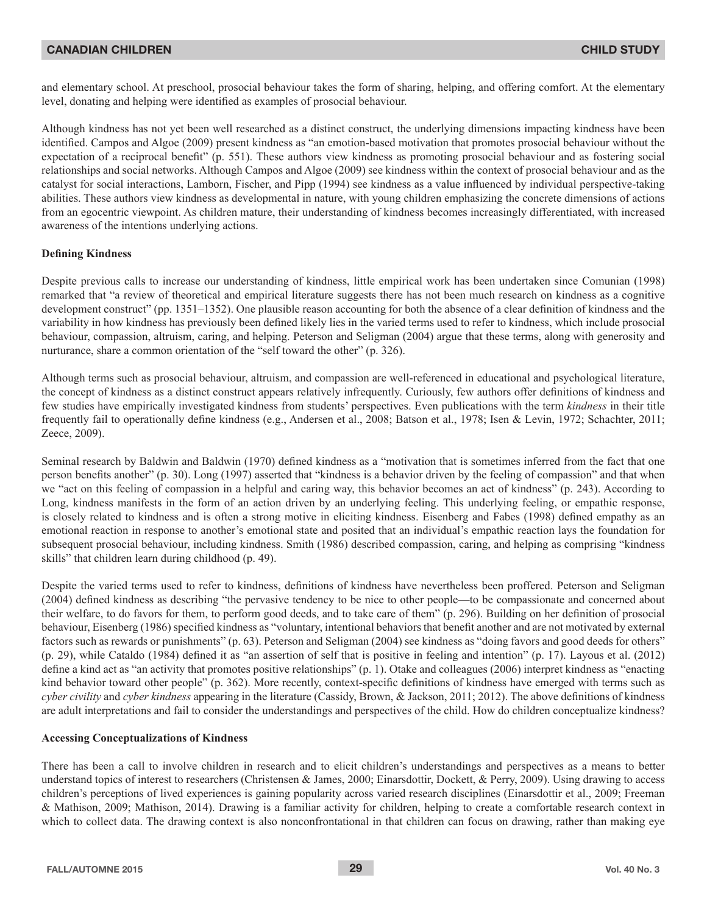and elementary school. At preschool, prosocial behaviour takes the form of sharing, helping, and offering comfort. At the elementary level, donating and helping were identified as examples of prosocial behaviour.

Although kindness has not yet been well researched as a distinct construct, the underlying dimensions impacting kindness have been identified. Campos and Algoe (2009) present kindness as "an emotion-based motivation that promotes prosocial behaviour without the expectation of a reciprocal benefit" (p. 551). These authors view kindness as promoting prosocial behaviour and as fostering social relationships and social networks. Although Campos and Algoe (2009) see kindness within the context of prosocial behaviour and as the catalyst for social interactions, Lamborn, Fischer, and Pipp (1994) see kindness as a value influenced by individual perspective-taking abilities. These authors view kindness as developmental in nature, with young children emphasizing the concrete dimensions of actions from an egocentric viewpoint. As children mature, their understanding of kindness becomes increasingly differentiated, with increased awareness of the intentions underlying actions.

## **Defining Kindness**

Despite previous calls to increase our understanding of kindness, little empirical work has been undertaken since Comunian (1998) remarked that "a review of theoretical and empirical literature suggests there has not been much research on kindness as a cognitive development construct" (pp. 1351-1352). One plausible reason accounting for both the absence of a clear definition of kindness and the variability in how kindness has previously been defined likely lies in the varied terms used to refer to kindness, which include prosocial behaviour, compassion, altruism, caring, and helping. Peterson and Seligman (2004) argue that these terms, along with generosity and nurturance, share a common orientation of the "self toward the other" (p. 326).

Although terms such as prosocial behaviour, altruism, and compassion are well-referenced in educational and psychological literature, the concept of kindness as a distinct construct appears relatively infrequently. Curiously, few authors offer definitions of kindness and few studies have empirically investigated kindness from students' perspectives. Even publications with the term *kindness* in their title frequently fail to operationally define kindness (e.g., Andersen et al., 2008; Batson et al., 1978; Isen & Levin, 1972; Schachter, 2011; Zeece, 2009).

Seminal research by Baldwin and Baldwin (1970) defined kindness as a "motivation that is sometimes inferred from the fact that one person benefits another" (p. 30). Long (1997) asserted that "kindness is a behavior driven by the feeling of compassion" and that when we "act on this feeling of compassion in a helpful and caring way, this behavior becomes an act of kindness" (p. 243). According to Long, kindness manifests in the form of an action driven by an underlying feeling. This underlying feeling, or empathic response, is closely related to kindness and is often a strong motive in eliciting kindness. Eisenberg and Fabes (1998) defined empathy as an emotional reaction in response to another's emotional state and posited that an individual's empathic reaction lays the foundation for subsequent prosocial behaviour, including kindness. Smith (1986) described compassion, caring, and helping as comprising "kindness" skills" that children learn during childhood (p. 49).

Despite the varied terms used to refer to kindness, definitions of kindness have nevertheless been proffered. Peterson and Seligman (2004) defined kindness as describing "the pervasive tendency to be nice to other people—to be compassionate and concerned about their welfare, to do favors for them, to perform good deeds, and to take care of them" (p. 296). Building on her definition of prosocial behaviour, Eisenberg (1986) specified kindness as "voluntary, intentional behaviors that benefit another and are not motivated by external factors such as rewards or punishments" (p. 63). Peterson and Seligman (2004) see kindness as "doing favors and good deeds for others"  $(p, 29)$ , while Cataldo (1984) defined it as "an assertion of self that is positive in feeling and intention"  $(p, 17)$ . Layous et al. (2012) define a kind act as "an activity that promotes positive relationships" (p. 1). Otake and colleagues (2006) interpret kindness as "enacting kind behavior toward other people" (p. 362). More recently, context-specific definitions of kindness have emerged with terms such as *cyber civility* and *cyber kindness* appearing in the literature (Cassidy, Brown, & Jackson, 2011; 2012). The above definitions of kindness are adult interpretations and fail to consider the understandings and perspectives of the child. How do children conceptualize kindness?

#### **Accessing Conceptualizations of Kindness**

There has been a call to involve children in research and to elicit children's understandings and perspectives as a means to better understand topics of interest to researchers (Christensen & James, 2000; Einarsdottir, Dockett, & Perry, 2009). Using drawing to access children's perceptions of lived experiences is gaining popularity across varied research disciplines (Einarsdottir et al., 2009; Freeman & Mathison, 2009; Mathison, 2014). Drawing is a familiar activity for children, helping to create a comfortable research context in which to collect data. The drawing context is also nonconfrontational in that children can focus on drawing, rather than making eye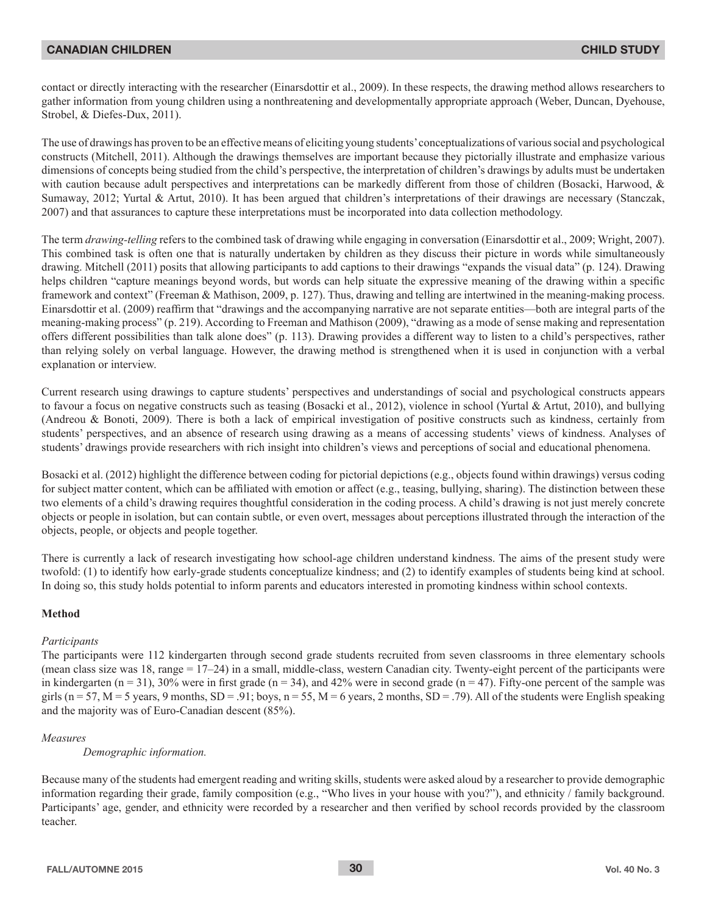contact or directly interacting with the researcher (Einarsdottir et al., 2009). In these respects, the drawing method allows researchers to gather information from young children using a nonthreatening and developmentally appropriate approach (Weber, Duncan, Dyehouse, Strobel, & Diefes-Dux, 2011).

The use of drawings has proven to be an effective means of eliciting young students' conceptualizations of various social and psychological constructs (Mitchell, 2011). Although the drawings themselves are important because they pictorially illustrate and emphasize various dimensions of concepts being studied from the child's perspective, the interpretation of children's drawings by adults must be undertaken with caution because adult perspectives and interpretations can be markedly different from those of children (Bosacki, Harwood, & Sumaway, 2012; Yurtal & Artut, 2010). It has been argued that children's interpretations of their drawings are necessary (Stanczak, 2007) and that assurances to capture these interpretations must be incorporated into data collection methodology.

The term *drawing-telling* refers to the combined task of drawing while engaging in conversation (Einarsdottir et al., 2009; Wright, 2007). This combined task is often one that is naturally undertaken by children as they discuss their picture in words while simultaneously drawing. Mitchell (2011) posits that allowing participants to add captions to their drawings "expands the visual data" (p. 124). Drawing helps children "capture meanings beyond words, but words can help situate the expressive meaning of the drawing within a specific framework and context" (Freeman & Mathison, 2009, p. 127). Thus, drawing and telling are intertwined in the meaning-making process. Einarsdottir et al. (2009) reaffirm that "drawings and the accompanying narrative are not separate entities—both are integral parts of the meaning-making process" (p. 219). According to Freeman and Mathison (2009), "drawing as a mode of sense making and representation offers different possibilities than talk alone does" (p. 113). Drawing provides a different way to listen to a child's perspectives, rather than relying solely on verbal language. However, the drawing method is strengthened when it is used in conjunction with a verbal explanation or interview.

Current research using drawings to capture students' perspectives and understandings of social and psychological constructs appears to favour a focus on negative constructs such as teasing (Bosacki et al., 2012), violence in school (Yurtal & Artut, 2010), and bullying (Andreou & Bonoti, 2009). There is both a lack of empirical investigation of positive constructs such as kindness, certainly from students' perspectives, and an absence of research using drawing as a means of accessing students' views of kindness. Analyses of students' drawings provide researchers with rich insight into children's views and perceptions of social and educational phenomena.

Bosacki et al. (2012) highlight the difference between coding for pictorial depictions (e.g., objects found within drawings) versus coding for subject matter content, which can be affiliated with emotion or affect (e.g., teasing, bullying, sharing). The distinction between these two elements of a child's drawing requires thoughtful consideration in the coding process. A child's drawing is not just merely concrete objects or people in isolation, but can contain subtle, or even overt, messages about perceptions illustrated through the interaction of the objects, people, or objects and people together.

There is currently a lack of research investigating how school-age children understand kindness. The aims of the present study were twofold: (1) to identify how early-grade students conceptualize kindness; and (2) to identify examples of students being kind at school. In doing so, this study holds potential to inform parents and educators interested in promoting kindness within school contexts.

#### **Method**

## *Participants*

The participants were 112 kindergarten through second grade students recruited from seven classrooms in three elementary schools (mean class size was 18, range =  $17-24$ ) in a small, middle-class, western Canadian city. Twenty-eight percent of the participants were in kindergarten ( $n = 31$ ), 30% were in first grade ( $n = 34$ ), and 42% were in second grade ( $n = 47$ ). Fifty-one percent of the sample was girls ( $n = 57$ , M = 5 years, 9 months, SD = .91; boys,  $n = 55$ , M = 6 years, 2 months, SD = .79). All of the students were English speaking and the majority was of Euro-Canadian descent  $(85\%)$ .

#### *Measures*

*Demographic information.* 

Because many of the students had emergent reading and writing skills, students were asked aloud by a researcher to provide demographic information regarding their grade, family composition (e.g., "Who lives in your house with you?"), and ethnicity / family background. Participants' age, gender, and ethnicity were recorded by a researcher and then verified by school records provided by the classroom teacher.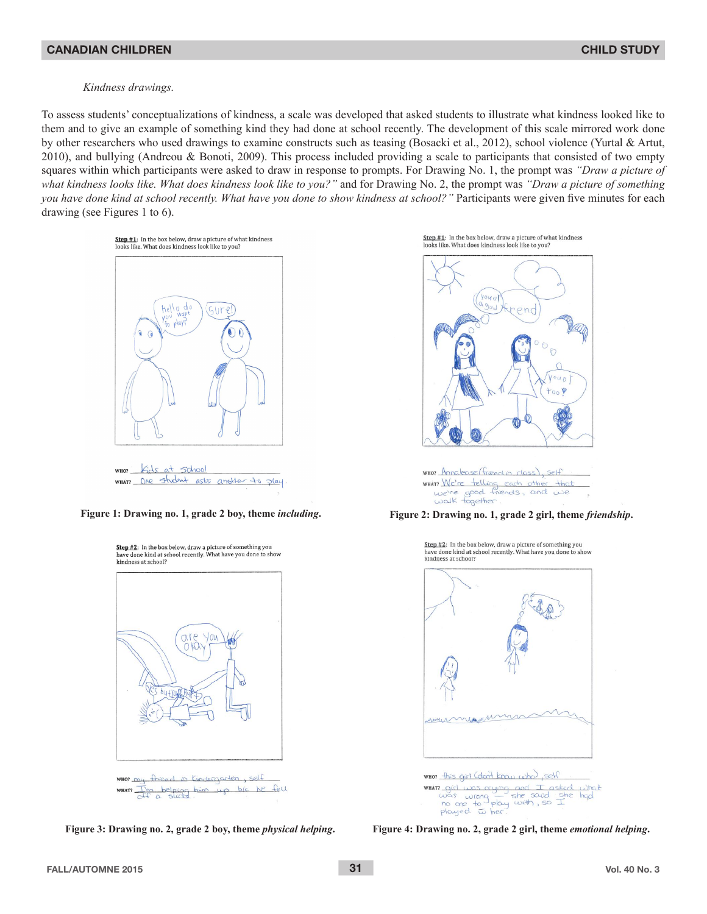#### *Kindness drawings.*

To assess students' conceptualizations of kindness, a scale was developed that asked students to illustrate what kindness looked like to them and to give an example of something kind they had done at school recently. The development of this scale mirrored work done by other researchers who used drawings to examine constructs such as teasing (Bosacki et al., 2012), school violence (Yurtal & Artut, 2010), and bullying (Andreou & Bonoti, 2009). This process included providing a scale to participants that consisted of two empty squares within which participants were asked to draw in response to prompts. For Drawing No. 1, the prompt was "Draw a picture of *what kindness looks like. What does kindness look like to you?"* and for Drawing No. 2, the prompt was *"Draw a picture of something you have done kind at school recently. What have you done to show kindness at school?"* Participants were given five minutes for each drawing (see Figures 1 to 6).



WHAT One student asks another to play



Step #1: In the box below, draw a picture of what kindness looks like. What does kindness look like to you?



WHO? Annalease (friend in dass), self WHAT Me're telling each other that<br>we're good friends, and we<br>walk together.

**Figure 1: Drawing no. 1, grade 2 boy, theme** *including***. Figure 2: Drawing no. 1, grade 2 girl, theme** *friendship***.**

Sten #2: In the hox helow draw a nicture of something you have done kind at school recently. What have you done to show kindness at school?



was wrong the soud she<br>no one to play with, so I<br>played wher.

**Figure 3: Drawing no. 2, grade 2 boy, theme** *physical helping***. Figure 4: Drawing no. 2, grade 2 girl, theme** *emotional helping***.**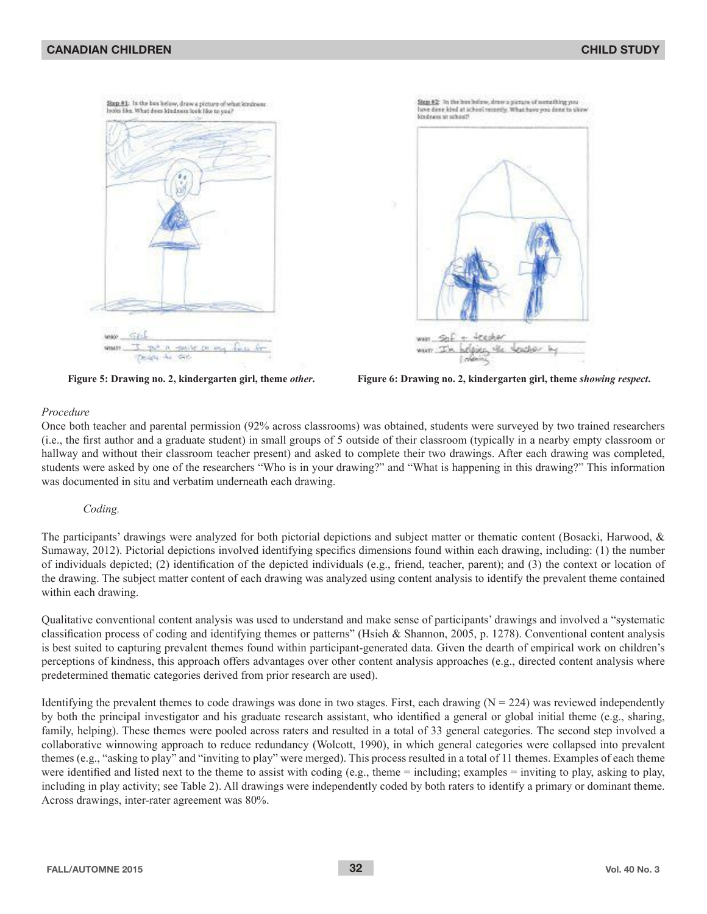

#### *Procedure*

Once both teacher and parental permission (92% across classrooms) was obtained, students were surveyed by two trained researchers (i.e., the first author and a graduate student) in small groups of 5 outside of their classroom (typically in a nearby empty classroom or hallway and without their classroom teacher present) and asked to complete their two drawings. After each drawing was completed, students were asked by one of the researchers "Who is in your drawing?" and "What is happening in this drawing?" This information was documented in situ and verbatim underneath each drawing.

#### *Coding.*

The participants' drawings were analyzed for both pictorial depictions and subject matter or thematic content (Bosacki, Harwood, & Sumaway, 2012). Pictorial depictions involved identifying specifics dimensions found within each drawing, including: (1) the number of individuals depicted; (2) identification of the depicted individuals (e.g., friend, teacher, parent); and (3) the context or location of the drawing. The subject matter content of each drawing was analyzed using content analysis to identify the prevalent theme contained within each drawing.

Qualitative conventional content analysis was used to understand and make sense of participants' drawings and involved a "systematic classification process of coding and identifying themes or patterns" (Hsieh & Shannon, 2005, p. 1278). Conventional content analysis is best suited to capturing prevalent themes found within participant-generated data. Given the dearth of empirical work on children's perceptions of kindness, this approach offers advantages over other content analysis approaches (e.g., directed content analysis where predetermined thematic categories derived from prior research are used).

Identifying the prevalent themes to code drawings was done in two stages. First, each drawing ( $N = 224$ ) was reviewed independently by both the principal investigator and his graduate research assistant, who identified a general or global initial theme (e.g., sharing, family, helping). These themes were pooled across raters and resulted in a total of 33 general categories. The second step involved a collaborative winnowing approach to reduce redundancy (Wolcott, 1990), in which general categories were collapsed into prevalent themes (e.g., "asking to play" and "inviting to play" were merged). This process resulted in a total of 11 themes. Examples of each theme were identified and listed next to the theme to assist with coding (e.g., theme = including; examples = inviting to play, asking to play, including in play activity; see Table 2). All drawings were independently coded by both raters to identify a primary or dominant theme. Across drawings, inter-rater agreement was 80%.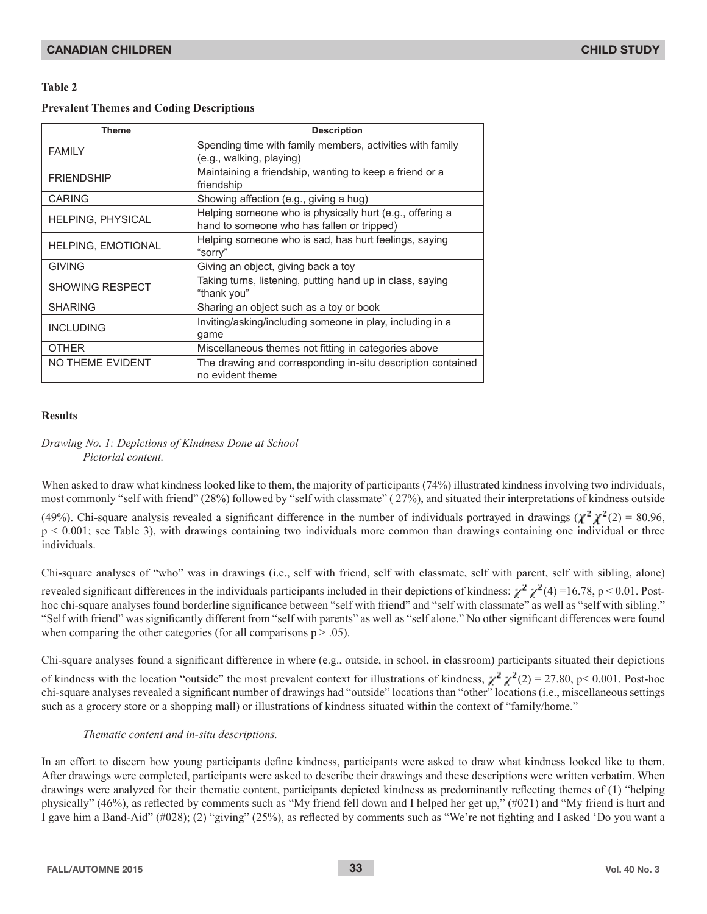## **Table 2**

## **Prevalent Themes and Coding Descriptions**

| <b>Theme</b>              | <b>Description</b>                                                                                     |  |  |  |
|---------------------------|--------------------------------------------------------------------------------------------------------|--|--|--|
| <b>FAMILY</b>             | Spending time with family members, activities with family<br>(e.g., walking, playing)                  |  |  |  |
| <b>FRIENDSHIP</b>         | Maintaining a friendship, wanting to keep a friend or a<br>friendship                                  |  |  |  |
| <b>CARING</b>             | Showing affection (e.g., giving a hug)                                                                 |  |  |  |
| <b>HELPING, PHYSICAL</b>  | Helping someone who is physically hurt (e.g., offering a<br>hand to someone who has fallen or tripped) |  |  |  |
| <b>HELPING, EMOTIONAL</b> | Helping someone who is sad, has hurt feelings, saying<br>"sorry"                                       |  |  |  |
| <b>GIVING</b>             | Giving an object, giving back a toy                                                                    |  |  |  |
| <b>SHOWING RESPECT</b>    | Taking turns, listening, putting hand up in class, saying<br>"thank you"                               |  |  |  |
| <b>SHARING</b>            | Sharing an object such as a toy or book                                                                |  |  |  |
| <b>INCLUDING</b>          | Inviting/asking/including someone in play, including in a<br>game                                      |  |  |  |
| <b>OTHER</b>              | Miscellaneous themes not fitting in categories above                                                   |  |  |  |
| NO THEME EVIDENT          | The drawing and corresponding in-situ description contained<br>no evident theme                        |  |  |  |

## **Results**

## *Drawing No. 1: Depictions of Kindness Done at School Pictorial content.*

When asked to draw what kindness looked like to them, the majority of participants (74%) illustrated kindness involving two individuals, most commonly "self with friend" (28%) followed by "self with classmate" (27%), and situated their interpretations of kindness outside (49%). Chi-square analysis revealed a significant difference in the number of individuals portrayed in drawings  $(\chi^2 \chi^2(2) = 80.96)$ ,  $p \le 0.001$ ; see Table 3), with drawings containing two individuals more common than drawings containing one individual or three individuals.

Chi-square analyses of "who" was in drawings (i.e., self with friend, self with classmate, self with parent, self with sibling, alone) revealed significant differences in the individuals participants included in their depictions of kindness:  $\chi^2 \chi^2$ (4)=16.78, p < 0.01. Posthoc chi-square analyses found borderline significance between "self with friend" and "self with classmate" as well as "self with sibling." "Self with friend" was significantly different from "self with parents" as well as "self alone." No other significant differences were found when comparing the other categories (for all comparisons  $p > .05$ ).

Chi-square analyses found a significant difference in where (e.g., outside, in school, in classroom) participants situated their depictions

of kindness with the location "outside" the most prevalent context for illustrations of kindness,  $\chi^2 \chi^2(2) = 27.80$ , p< 0.001. Post-hoc chi-square analyses revealed a significant number of drawings had "outside" locations than "other" locations (i.e., miscellaneous settings such as a grocery store or a shopping mall) or illustrations of kindness situated within the context of "family/home."

## *Thematic content and in-situ descriptions.*

In an effort to discern how young participants define kindness, participants were asked to draw what kindness looked like to them. After drawings were completed, participants were asked to describe their drawings and these descriptions were written verbatim. When drawings were analyzed for their thematic content, participants depicted kindness as predominantly reflecting themes of (1) "helping physically" (46%), as reflected by comments such as "My friend fell down and I helped her get up," (#021) and "My friend is hurt and I gave him a Band-Aid" (#028); (2) "giving" (25%), as reflected by comments such as "We're not fighting and I asked 'Do you want a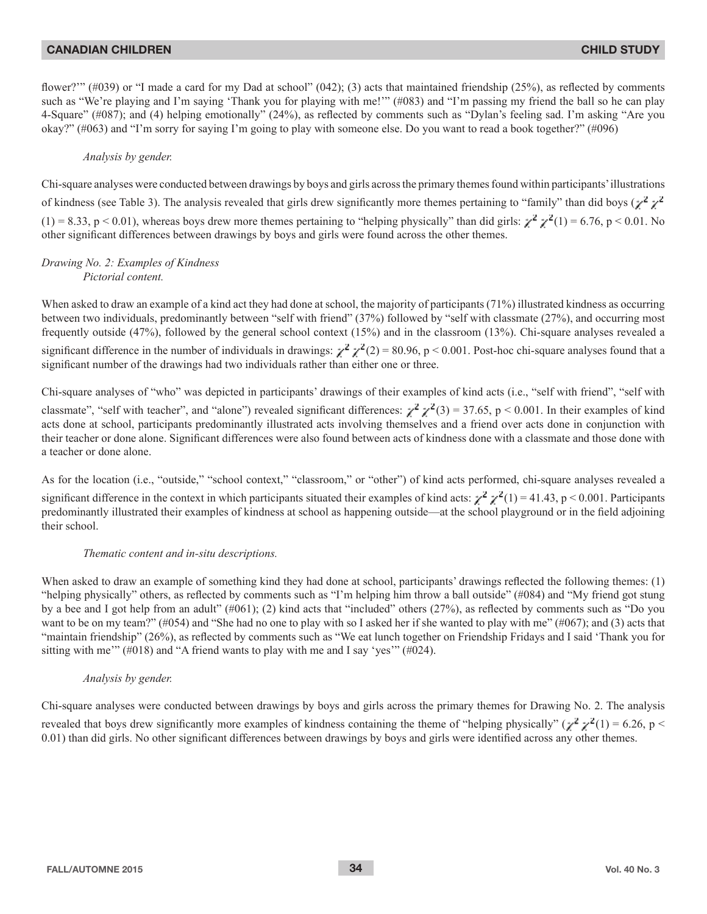flower?"" (#039) or "I made a card for my Dad at school" (042); (3) acts that maintained friendship (25%), as reflected by comments such as "We're playing and I'm saying 'Thank you for playing with me!"" (#083) and "I'm passing my friend the ball so he can play 4-Square" (#087); and (4) helping emotionally" (24%), as reflected by comments such as "Dylan's feeling sad. I'm asking "Are you okay?" (#063) and "I'm sorry for saying I'm going to play with someone else. Do you want to read a book together?" (#096)

## *Analysis by gender.*

Chi-square analyses were conducted between drawings by boys and girls across the primary themes found within participants' illustrations of kindness (see Table 3). The analysis revealed that girls drew significantly more themes pertaining to "family" than did boys  $(\chi^2 \chi^2)$  $(1) = 8.33$ , p < 0.01), whereas boys drew more themes pertaining to "helping physically" than did girls:  $\chi^2 \chi^2(1) = 6.76$ , p < 0.01. No other significant differences between drawings by boys and girls were found across the other themes.

#### *Drawing No. 2: Examples of Kindness Pictorial content.*

When asked to draw an example of a kind act they had done at school, the majority of participants (71%) illustrated kindness as occurring between two individuals, predominantly between "self with friend" (37%) followed by "self with classmate (27%), and occurring most frequently outside (47%), followed by the general school context (15%) and in the classroom (13%). Chi-square analyses revealed a significant difference in the number of individuals in drawings:  $\chi^2 \chi^2(2) = 80.96$ , p < 0.001. Post-hoc chi-square analyses found that a significant number of the drawings had two individuals rather than either one or three.

Chi-square analyses of "who" was depicted in participants' drawings of their examples of kind acts (i.e., "self with friend", "self with classmate", "self with teacher", and "alone") revealed significant differences:  $\chi^2 \chi^2(3) = 37.65$ , p < 0.001. In their examples of kind acts done at school, participants predominantly illustrated acts involving themselves and a friend over acts done in conjunction with their teacher or done alone. Significant differences were also found between acts of kindness done with a classmate and those done with a teacher or done alone.

As for the location (i.e., "outside," "school context," "classroom," or "other") of kind acts performed, chi-square analyses revealed a significant difference in the context in which participants situated their examples of kind acts:  $\chi^2 \chi^2(1) = 41.43$ , p < 0.001. Participants predominantly illustrated their examples of kindness at school as happening outside—at the school playground or in the field adjoining their school.

#### *Thematic content and in-situ descriptions.*

When asked to draw an example of something kind they had done at school, participants' drawings reflected the following themes: (1) "helping physically" others, as reflected by comments such as "I'm helping him throw a ball outside"  $(\#084)$  and "My friend got stung by a bee and I got help from an adult"  $(\#061)$ ; (2) kind acts that "included" others (27%), as reflected by comments such as "Do you want to be on my team?" (#054) and "She had no one to play with so I asked her if she wanted to play with me" (#067); and (3) acts that "maintain friendship" (26%), as reflected by comments such as "We eat lunch together on Friendship Fridays and I said 'Thank you for sitting with me'" (#018) and "A friend wants to play with me and I say 'yes'" (#024).

#### *Analysis by gender.*

Chi-square analyses were conducted between drawings by boys and girls across the primary themes for Drawing No. 2. The analysis revealed that boys drew significantly more examples of kindness containing the theme of "helping physically" ( $\chi^2 \chi^2(1) = 6.26$ , p < 0.01) than did girls. No other significant differences between drawings by boys and girls were identified across any other themes.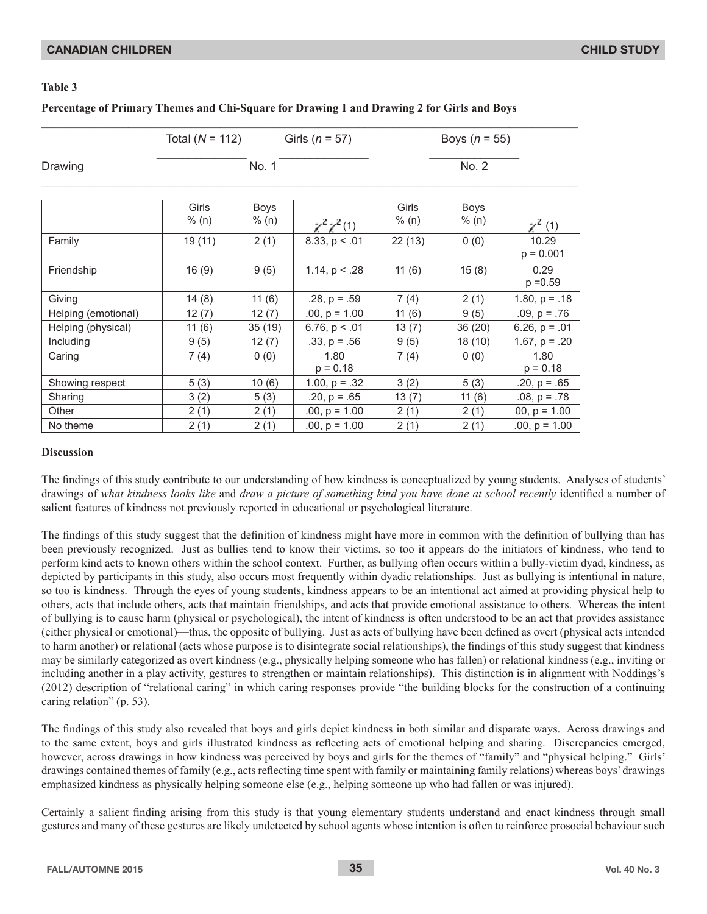## **Table 3**

## **Percentage of Primary Themes and Chi-Square for Drawing 1 and Drawing 2 for Girls and Boys**

|                     | Total $(N = 112)$ |                      | Girls ( $n = 57$ )  | Boys $(n = 55)$ |               |                      |
|---------------------|-------------------|----------------------|---------------------|-----------------|---------------|----------------------|
| Drawing             | No. 1             |                      |                     | No. 2           |               |                      |
|                     | Girls<br>% (n)    | <b>Boys</b><br>% (n) | $\chi^2 \chi^2$ (1) | Girls<br>% (n)  | Boys<br>% (n) | $\chi^2$ (1)         |
| Family              | 19 (11)           | 2(1)                 | 8.33, p < .01       | 22(13)          | 0(0)          | 10.29<br>$p = 0.001$ |
| Friendship          | 16(9)             | 9(5)                 | 1.14, $p < .28$     | 11(6)           | 15(8)         | 0.29<br>$p = 0.59$   |
| Giving              | 14(8)             | 11(6)                | $.28, p = .59$      | 7(4)            | 2(1)          | $1.80, p = .18$      |
| Helping (emotional) | 12(7)             | 12(7)                | $.00, p = 1.00$     | 11(6)           | 9(5)          | $.09, p = .76$       |
| Helping (physical)  | 11(6)             | 35(19)               | 6.76, $p < .01$     | 13(7)           | 36(20)        | 6.26, $p = .01$      |
| Including           | 9(5)              | 12(7)                | $.33, p = .56$      | 9(5)            | 18(10)        | 1.67, $p = .20$      |
| Caring              | 7(4)              | 0(0)                 | 1.80<br>$p = 0.18$  | 7(4)            | 0(0)          | 1.80<br>$p = 0.18$   |
| Showing respect     | 5(3)              | 10(6)                | 1.00, $p = .32$     | 3(2)            | 5(3)          | $.20, p = .65$       |
| Sharing             | 3(2)              | 5(3)                 | $.20, p = .65$      | 13(7)           | 11(6)         | $.08, p = .78$       |
| Other               | 2(1)              | 2(1)                 | $.00, p = 1.00$     | 2(1)            | 2(1)          | 00, $p = 1.00$       |
| No theme            | 2(1)              | 2(1)                 | $.00, p = 1.00$     | 2(1)            | 2(1)          | $.00, p = 1.00$      |

#### **Discussion**

The findings of this study contribute to our understanding of how kindness is conceptualized by young students. Analyses of students' drawings of what kindness looks like and draw a picture of something kind you have done at school recently identified a number of salient features of kindness not previously reported in educational or psychological literature.

The findings of this study suggest that the definition of kindness might have more in common with the definition of bullying than has been previously recognized. Just as bullies tend to know their victims, so too it appears do the initiators of kindness, who tend to perform kind acts to known others within the school context. Further, as bullying often occurs within a bully-victim dyad, kindness, as depicted by participants in this study, also occurs most frequently within dyadic relationships. Just as bullying is intentional in nature, so too is kindness. Through the eyes of young students, kindness appears to be an intentional act aimed at providing physical help to others, acts that include others, acts that maintain friendships, and acts that provide emotional assistance to others. Whereas the intent of bullying is to cause harm (physical or psychological), the intent of kindness is often understood to be an act that provides assistance (either physical or emotional)—thus, the opposite of bullying. Just as acts of bullying have been defined as overt (physical acts intended to harm another) or relational (acts whose purpose is to disintegrate social relationships), the findings of this study suggest that kindness may be similarly categorized as overt kindness (e.g., physically helping someone who has fallen) or relational kindness (e.g., inviting or including another in a play activity, gestures to strengthen or maintain relationships). This distinction is in alignment with Noddings's (2012) description of "relational caring" in which caring responses provide "the building blocks for the construction of a continuing caring relation" (p. 53).

The findings of this study also revealed that boys and girls depict kindness in both similar and disparate ways. Across drawings and to the same extent, boys and girls illustrated kindness as reflecting acts of emotional helping and sharing. Discrepancies emerged, however, across drawings in how kindness was perceived by boys and girls for the themes of "family" and "physical helping." Girls' drawings contained themes of family (e.g., acts reflecting time spent with family or maintaining family relations) whereas boys' drawings emphasized kindness as physically helping someone else (e.g., helping someone up who had fallen or was injured).

Certainly a salient finding arising from this study is that young elementary students understand and enact kindness through small gestures and many of these gestures are likely undetected by school agents whose intention is often to reinforce prosocial behaviour such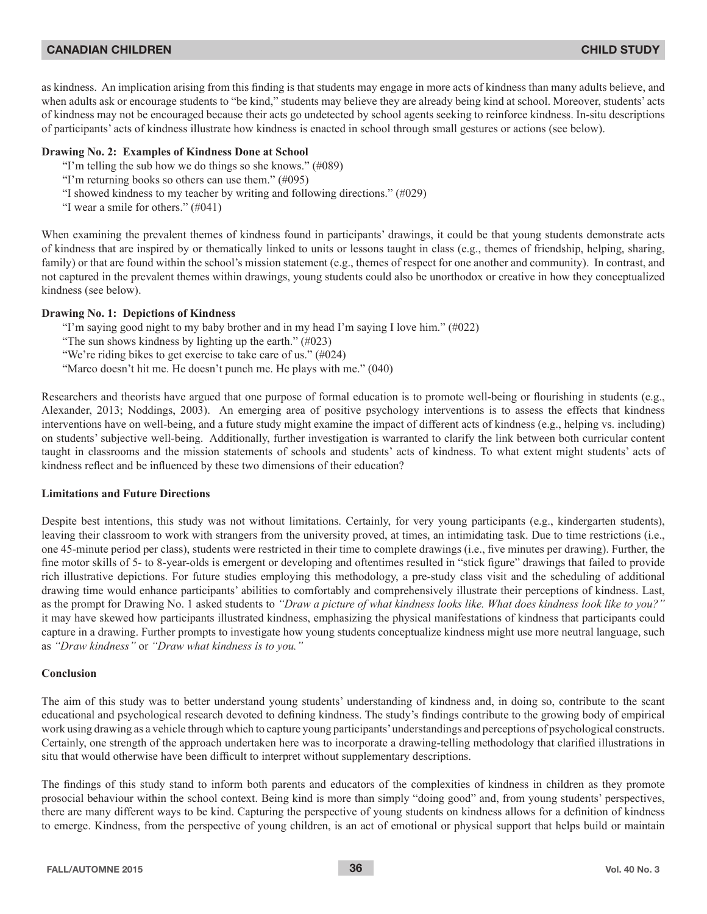as kindness. An implication arising from this finding is that students may engage in more acts of kindness than many adults believe, and when adults ask or encourage students to "be kind," students may believe they are already being kind at school. Moreover, students' acts of kindness may not be encouraged because their acts go undetected by school agents seeking to reinforce kindness. In-situ descriptions of participants' acts of kindness illustrate how kindness is enacted in school through small gestures or actions (see below).

## **Drawing No. 2: Examples of Kindness Done at School**

- "I'm telling the sub how we do things so she knows."  $(\text{\#089})$
- "I'm returning books so others can use them."  $(\text{\#095})$
- "I showed kindness to my teacher by writing and following directions."  $(\text{\#}029)$
- "I wear a smile for others."  $(\text{\#}041)$

When examining the prevalent themes of kindness found in participants' drawings, it could be that young students demonstrate acts of kindness that are inspired by or thematically linked to units or lessons taught in class (e.g., themes of friendship, helping, sharing, family) or that are found within the school's mission statement (e.g., themes of respect for one another and community). In contrast, and not captured in the prevalent themes within drawings, young students could also be unorthodox or creative in how they conceptualized kindness (see below).

#### **Drawing No. 1: Depictions of Kindness**

- "I'm saying good night to my baby brother and in my head I'm saying I love him."  $(\text{\#}022)$
- "The sun shows kindness by lighting up the earth."  $(\text{\#}023)$
- "We're riding bikes to get exercise to take care of us."  $(\text{\#}024)$
- "Marco doesn't hit me. He doesn't punch me. He plays with me." (040)

Researchers and theorists have argued that one purpose of formal education is to promote well-being or flourishing in students (e.g., Alexander, 2013; Noddings, 2003). An emerging area of positive psychology interventions is to assess the effects that kindness interventions have on well-being, and a future study might examine the impact of different acts of kindness (e.g., helping vs. including) on students' subjective well-being. Additionally, further investigation is warranted to clarify the link between both curricular content taught in classrooms and the mission statements of schools and students' acts of kindness. To what extent might students' acts of kindness reflect and be influenced by these two dimensions of their education?

## **Limitations and Future Directions**

Despite best intentions, this study was not without limitations. Certainly, for very young participants (e.g., kindergarten students), leaving their classroom to work with strangers from the university proved, at times, an intimidating task. Due to time restrictions (i.e., one 45-minute period per class), students were restricted in their time to complete drawings (i.e., five minutes per drawing). Further, the fine motor skills of 5- to 8-year-olds is emergent or developing and oftentimes resulted in "stick figure" drawings that failed to provide rich illustrative depictions. For future studies employing this methodology, a pre-study class visit and the scheduling of additional drawing time would enhance participants' abilities to comfortably and comprehensively illustrate their perceptions of kindness. Last, as the prompt for Drawing No. 1 asked students to "Draw a picture of what kindness looks like. What does kindness look like to you?" it may have skewed how participants illustrated kindness, emphasizing the physical manifestations of kindness that participants could capture in a drawing. Further prompts to investigate how young students conceptualize kindness might use more neutral language, such as *"Draw kindness"* or *"Draw what kindness is to you."*

## **Conclusion**

The aim of this study was to better understand young students' understanding of kindness and, in doing so, contribute to the scant educational and psychological research devoted to defining kindness. The study's findings contribute to the growing body of empirical work using drawing as a vehicle through which to capture young participants' understandings and perceptions of psychological constructs. Certainly, one strength of the approach undertaken here was to incorporate a drawing-telling methodology that clarified illustrations in situ that would otherwise have been difficult to interpret without supplementary descriptions.

The findings of this study stand to inform both parents and educators of the complexities of kindness in children as they promote prosocial behaviour within the school context. Being kind is more than simply "doing good" and, from young students' perspectives, there are many different ways to be kind. Capturing the perspective of young students on kindness allows for a definition of kindness to emerge. Kindness, from the perspective of young children, is an act of emotional or physical support that helps build or maintain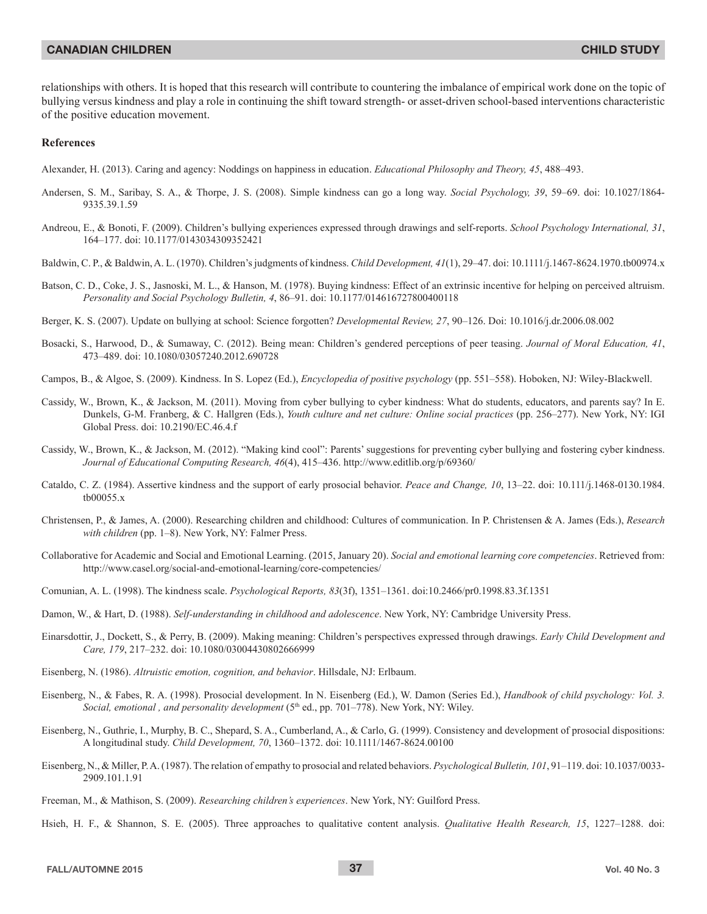relationships with others. It is hoped that this research will contribute to countering the imbalance of empirical work done on the topic of bullying versus kindness and play a role in continuing the shift toward strength- or asset-driven school-based interventions characteristic of the positive education movement.

#### **References**

Alexander, H. (2013). Caring and agency: Noddings on happiness in education. *Educational Philosophy and Theory*, 45, 488–493.

- Andersen, S. M., Saribay, S. A., & Thorpe, J. S. (2008). Simple kindness can go a long way. Social Psychology, 39, 59–69. doi: 10.1027/1864-9335.39.1.59
- Andreou, E., & Bonoti, F. (2009). Children's bullying experiences expressed through drawings and self-reports. School Psychology International, 31, 164-177. doi: 10.1177/0143034309352421
- Baldwin, C. P., & Baldwin, A. L. (1970). Children's judgments of kindness. Child Development, 41(1), 29–47. doi: 10.1111/j.1467-8624.1970.tb00974.x
- Batson, C. D., Coke, J. S., Jasnoski, M. L., & Hanson, M. (1978). Buying kindness: Effect of an extrinsic incentive for helping on perceived altruism. *Personality and Social Psychology Bulletin, 4, 86-91. doi: 10.1177/014616727800400118*
- Berger, K. S. (2007). Update on bullying at school: Science forgotten? *Developmental Review, 27*, 90–126. Doi: 10.1016/j.dr.2006.08.002
- Bosacki, S., Harwood, D., & Sumaway, C. (2012). Being mean: Children's gendered perceptions of peer teasing. Journal of Moral Education, 41, 473-489. doi: 10.1080/03057240.2012.690728
- Campos, B., & Algoe, S. (2009). Kindness. In S. Lopez (Ed.), *Encyclopedia of positive psychology* (pp. 551–558). Hoboken, NJ: Wiley-Blackwell.
- Cassidy, W., Brown, K., & Jackson, M. (2011). Moving from cyber bullying to cyber kindness: What do students, educators, and parents say? In E. Dunkels, G-M. Franberg, & C. Hallgren (Eds.), *Youth culture and net culture: Online social practices* (pp. 256–277). New York, NY: IGI Global Press. doi: 10.2190/EC.46.4.f
- Cassidy, W., Brown, K., & Jackson, M. (2012). "Making kind cool": Parents' suggestions for preventing cyber bullying and fostering cyber kindness. Journal of Educational Computing Research, 46(4), 415–436. http://www.editlib.org/p/69360/
- Cataldo, C. Z. (1984). Assertive kindness and the support of early prosocial behavior. Peace and Change, 10, 13–22. doi: 10.111/j.1468-0130.1984.  $tb00055.x$
- Christensen, P., & James, A. (2000). Researching children and childhood: Cultures of communication. In P. Christensen & A. James (Eds.), Research with children (pp. 1-8). New York, NY: Falmer Press.
- Collaborative for Academic and Social and Emotional Learning. (2015, January 20). Social and emotional learning core competencies. Retrieved from: http://www.casel.org/social-and-emotional-learning/core-competencies/
- Comunian, A. L. (1998). The kindness scale. *Psychological Reports*, 83(3f), 1351–1361. doi:10.2466/pr0.1998.83.3f.1351
- Damon, W., & Hart, D. (1988). Self-understanding in childhood and adolescence. New York, NY: Cambridge University Press.
- Einarsdottir, J., Dockett, S., & Perry, B. (2009). Making meaning: Children's perspectives expressed through drawings. *Early Child Development and* Care, 179, 217-232. doi: 10.1080/03004430802666999
- Eisenberg, N. (1986). Altruistic emotion, cognition, and behavior. Hillsdale, NJ: Erlbaum.
- Eisenberg, N., & Fabes, R. A. (1998). Prosocial development. In N. Eisenberg (Ed.), W. Damon (Series Ed.), *Handbook of child psychology: Vol. 3.* Social, emotional, and personality development (5<sup>th</sup> ed., pp. 701–778). New York, NY: Wiley.
- Eisenberg, N., Guthrie, I., Murphy, B. C., Shepard, S. A., Cumberland, A., & Carlo, G. (1999). Consistency and development of prosocial dispositions: A longitudinal study. *Child Development, 70*, 1360-1372. doi: 10.1111/1467-8624.00100
- Eisenberg, N., & Miller, P.A. (1987). The relation of empathy to prosocial and related behaviors. *Psychological Bulletin, 101*, 91–119, doi: 10.1037/0033-2909.101.1.91
- Freeman, M., & Mathison, S. (2009). Researching children's experiences. New York, NY: Guilford Press.

Hsieh, H. F., & Shannon, S. E. (2005). Three approaches to qualitative content analysis. *Qualitative Health Research*, 15, 1227-1288. doi: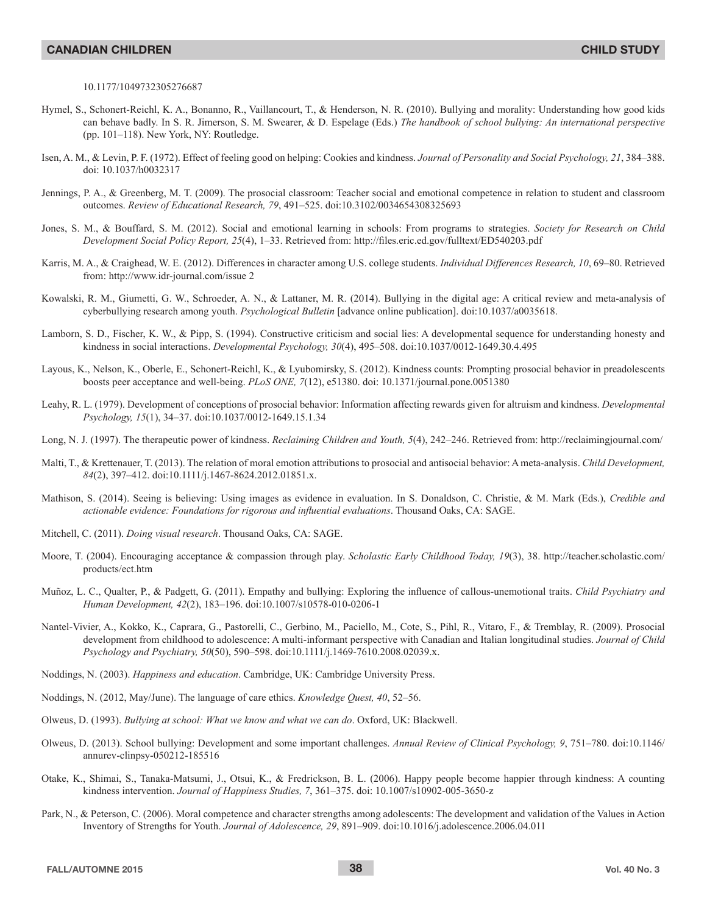#### 10.1177/1049732305276687

- Hymel, S., Schonert-Reichl, K. A., Bonanno, R., Vaillancourt, T., & Henderson, N. R. (2010). Bullying and morality: Understanding how good kids can behave badly. In S. R. Jimerson, S. M. Swearer, & D. Espelage (Eds.) *The handbook of school bullying: An international perspective* (pp.  $101-118$ ). New York, NY: Routledge.
- Isen, A. M., & Levin, P. F. (1972). Effect of feeling good on helping: Cookies and kindness. Journal of Personality and Social Psychology, 21, 384–388. doi: 10.1037/h0032317
- Jennings, P. A., & Greenberg, M. T. (2009). The prosocial classroom: Teacher social and emotional competence in relation to student and classroom outcomes. *Review of Educational Research, 79, 491-525.* doi:10.3102/0034654308325693
- Jones, S. M., & Bouffard, S. M. (2012). Social and emotional learning in schools: From programs to strategies. Society for Research on Child Development Social Policy Report, 25(4), 1-33. Retrieved from: http://files.eric.ed.gov/fulltext/ED540203.pdf
- Karris, M. A., & Craighead, W. E. (2012). Differences in character among U.S. college students. *Individual Differences Research, 10*, 69–80. Retrieved from: http://www.idr-journal.com/issue 2
- Kowalski, R. M., Giumetti, G. W., Schroeder, A. N., & Lattaner, M. R. (2014). Bullying in the digital age: A critical review and meta-analysis of cyberbullying research among youth. *Psychological Bulletin* [advance online publication]. doi:10.1037/a0035618.
- Lamborn, S. D., Fischer, K. W., & Pipp, S. (1994). Constructive criticism and social lies: A developmental sequence for understanding honesty and kindness in social interactions. *Developmental Psychology*,  $30(4)$ ,  $495-508$ . doi:10.1037/0012-1649.30.4.495
- Layous, K., Nelson, K., Oberle, E., Schonert-Reichl, K., & Lyubomirsky, S. (2012). Kindness counts: Prompting prosocial behavior in preadolescents boosts peer acceptance and well-being. *PLoS ONE*, 7(12), e51380. doi: 10.1371/journal.pone.0051380
- Leahy, R. L. (1979). Development of conceptions of prosocial behavior: Information affecting rewards given for altruism and kindness. *Developmental* Psychology, 15(1), 34-37. doi:10.1037/0012-1649.15.1.34
- Long, N. J. (1997). The therapeutic power of kindness. *Reclaiming Children and Youth*, 5(4), 242–246. Retrieved from: http://reclaimingjournal.com/
- Malti, T., & Krettenauer, T. (2013). The relation of moral emotion attributions to prosocial and antisocial behavior: A meta-analysis. Child Development, 84(2), 397-412. doi:10.1111/j.1467-8624.2012.01851.x.
- Mathison, S. (2014). Seeing is believing: Using images as evidence in evaluation. In S. Donaldson, C. Christie, & M. Mark (Eds.), Credible and *actionable evidence: Foundations for rigorous and influential evaluations.* Thousand Oaks, CA: SAGE.
- Mitchell, C. (2011). *Doing visual research*. Thousand Oaks, CA: SAGE.
- Moore, T. (2004). Encouraging acceptance & compassion through play. Scholastic Early Childhood Today, 19(3), 38. http://teacher.scholastic.com/ products/ect.htm
- Muñoz, L. C., Qualter, P., & Padgett, G. (2011). Empathy and bullying: Exploring the influence of callous-unemotional traits. Child Psychiatry and Human Development, 42(2), 183-196. doi:10.1007/s10578-010-0206-1
- Nantel-Vivier, A., Kokko, K., Caprara, G., Pastorelli, C., Gerbino, M., Paciello, M., Cote, S., Pihl, R., Vitaro, F., & Tremblay, R. (2009). Prosocial development from childhood to adolescence: A multi-informant perspective with Canadian and Italian longitudinal studies. *Journal of Child*  Psychology and Psychiatry, 50(50), 590-598. doi:10.1111/j.1469-7610.2008.02039.x.
- Noddings, N. (2003). *Happiness and education*. Cambridge, UK: Cambridge University Press.
- Noddings, N. (2012, May/June). The language of care ethics. *Knowledge Quest, 40*, 52–56.
- Olweus, D. (1993). *Bullying at school: What we know and what we can do.* Oxford, UK: Blackwell.
- Olweus, D. (2013). School bullying: Development and some important challenges. Annual Review of Clinical Psychology, 9, 751-780. doi:10.1146/ annurev-clinpsy-050212-185516
- Otake, K., Shimai, S., Tanaka-Matsumi, J., Otsui, K., & Fredrickson, B. L. (2006). Happy people become happier through kindness: A counting kindness intervention. *Journal of Happiness Studies, 7,* 361-375. doi: 10.1007/s10902-005-3650-z
- Park, N., & Peterson, C. (2006). Moral competence and character strengths among adolescents: The development and validation of the Values in Action Inventory of Strengths for Youth. *Journal of Adolescence*, 29, 891–909. doi:10.1016/j.adolescence.2006.04.011